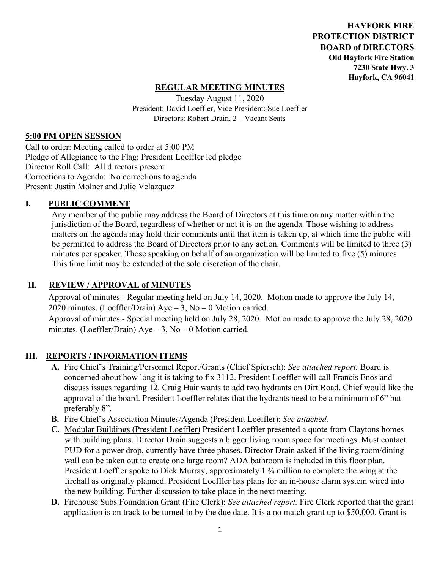**HAYFORK FIRE PROTECTION DISTRICT BOARD of DIRECTORS Old Hayfork Fire Station 7230 State Hwy. 3 Hayfork, CA 96041** 

### **REGULAR MEETING MINUTES**

Tuesday August 11, 2020 President: David Loeffler, Vice President: Sue Loeffler Directors: Robert Drain, 2 – Vacant Seats

#### **5:00 PM OPEN SESSION**

Call to order: Meeting called to order at 5:00 PM Pledge of Allegiance to the Flag: President Loeffler led pledge Director Roll Call: All directors present Corrections to Agenda: No corrections to agenda Present: Justin Molner and Julie Velazquez

#### **I. PUBLIC COMMENT**

Any member of the public may address the Board of Directors at this time on any matter within the jurisdiction of the Board, regardless of whether or not it is on the agenda. Those wishing to address matters on the agenda may hold their comments until that item is taken up, at which time the public will be permitted to address the Board of Directors prior to any action. Comments will be limited to three (3) minutes per speaker. Those speaking on behalf of an organization will be limited to five (5) minutes. This time limit may be extended at the sole discretion of the chair.

### **II. REVIEW / APPROVAL of MINUTES**

 Approval of minutes - Regular meeting held on July 14, 2020. Motion made to approve the July 14, 2020 minutes. (Loeffler/Drain) Aye – 3, No – 0 Motion carried. Approval of minutes - Special meeting held on July 28, 2020. Motion made to approve the July 28, 2020 minutes. (Loeffler/Drain)  $Aye - 3$ , No – 0 Motion carried.

### **III. REPORTS / INFORMATION ITEMS**

- **A.** Fire Chief's Training/Personnel Report/Grants (Chief Spiersch): *See attached report.* Board is concerned about how long it is taking to fix 3112. President Loeffler will call Francis Enos and discuss issues regarding 12. Craig Hair wants to add two hydrants on Dirt Road. Chief would like the approval of the board. President Loeffler relates that the hydrants need to be a minimum of 6" but preferably 8".
- **B.** Fire Chief's Association Minutes/Agenda (President Loeffler): *See attached.*
- **C.** Modular Buildings (President Loeffler) President Loeffler presented a quote from Claytons homes with building plans. Director Drain suggests a bigger living room space for meetings. Must contact PUD for a power drop, currently have three phases. Director Drain asked if the living room/dining wall can be taken out to create one large room? ADA bathroom is included in this floor plan. President Loeffler spoke to Dick Murray, approximately 1 <sup>3</sup>/4 million to complete the wing at the firehall as originally planned. President Loeffler has plans for an in-house alarm system wired into the new building. Further discussion to take place in the next meeting.
- **D.** Firehouse Subs Foundation Grant (Fire Clerk): *See attached report.* Fire Clerk reported that the grant application is on track to be turned in by the due date. It is a no match grant up to \$50,000. Grant is